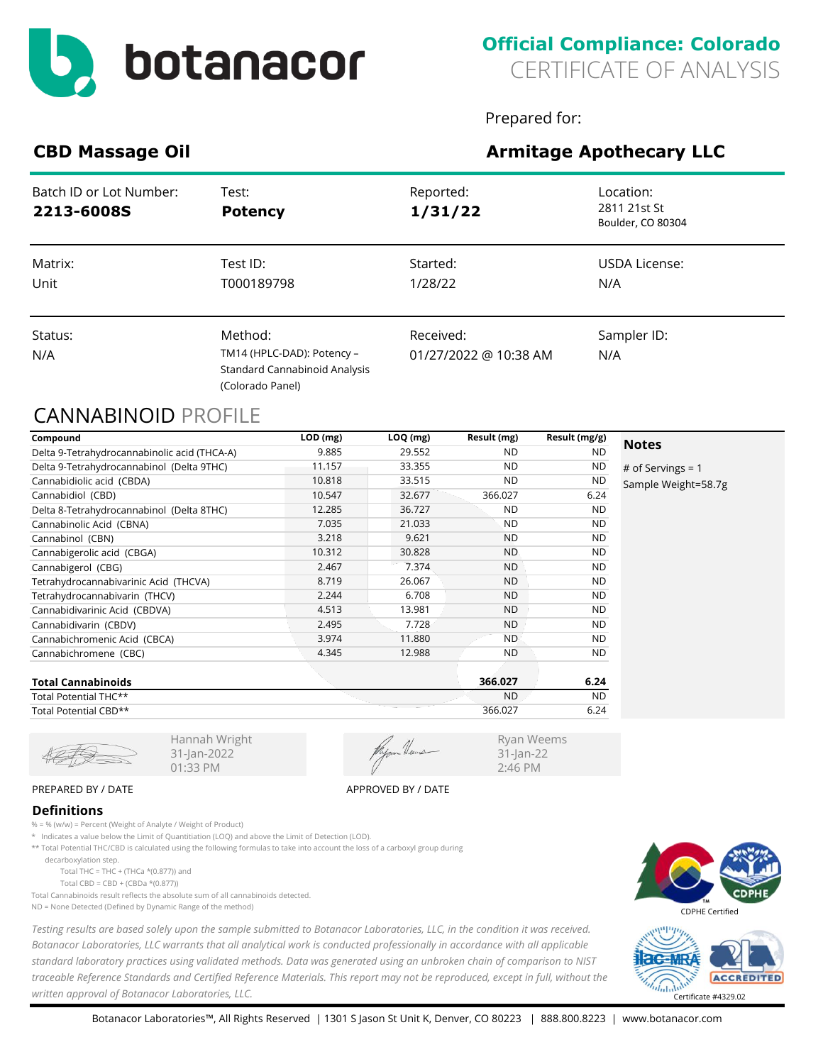

Prepared for:

Ryan Weems 31-Jan-22 2:46 PM

# **CBD Massage Oil Armitage Apothecary LLC**

# Batch ID or Lot Number: Test: Test: Test: Reported: Location: Location: **2213-6008S Potency 1/31/22** 2811 21st St Boulder, CO 80304 Status: Status: Status: Method: Received: Sampler ID: Sampler ID: Sampler ID: Sampler ID: Sampler ID: Sampler ID: Sampler ID: Sampler ID: Sampler ID: Sampler ID: Sampler ID: Sampler ID: Sampler ID: Sampler ID: Sampler ID: N/A TM14 (HPLC-DAD): Potency – Standard Cannabinoid Analysis (Colorado Panel) 01/27/2022 @ 10:38 AM N/A Matrix: Test ID: Started: USDA License: Unit T000189798 1/28/22 N/A

## CANNABINOID PROFILE

| Compound                                     | $LOD$ (mg) | $LOQ$ (mg) | Result (mg) | Result (mg/g) |                     |
|----------------------------------------------|------------|------------|-------------|---------------|---------------------|
| Delta 9-Tetrahydrocannabinolic acid (THCA-A) | 9.885      | 29.552     | <b>ND</b>   | <b>ND</b>     | <b>Notes</b>        |
| Delta 9-Tetrahydrocannabinol (Delta 9THC)    | 11.157     | 33.355     | <b>ND</b>   | <b>ND</b>     | # of Servings = $1$ |
| Cannabidiolic acid (CBDA)                    | 10.818     | 33.515     | <b>ND</b>   | <b>ND</b>     | Sample Weight=58.7g |
| Cannabidiol (CBD)                            | 10.547     | 32.677     | 366.027     | 6.24          |                     |
| Delta 8-Tetrahydrocannabinol (Delta 8THC)    | 12.285     | 36.727     | <b>ND</b>   | <b>ND</b>     |                     |
| Cannabinolic Acid (CBNA)                     | 7.035      | 21.033     | <b>ND</b>   | <b>ND</b>     |                     |
| Cannabinol (CBN)                             | 3.218      | 9.621      | <b>ND</b>   | <b>ND</b>     |                     |
| Cannabigerolic acid (CBGA)                   | 10.312     | 30.828     | <b>ND</b>   | <b>ND</b>     |                     |
| Cannabigerol (CBG)                           | 2.467      | 7.374      | <b>ND</b>   | <b>ND</b>     |                     |
| Tetrahydrocannabivarinic Acid (THCVA)        | 8.719      | 26.067     | <b>ND</b>   | <b>ND</b>     |                     |
| Tetrahydrocannabivarin (THCV)                | 2.244      | 6.708      | <b>ND</b>   | <b>ND</b>     |                     |
| Cannabidivarinic Acid (CBDVA)                | 4.513      | 13.981     | <b>ND</b>   | <b>ND</b>     |                     |
| Cannabidivarin (CBDV)                        | 2.495      | 7.728      | <b>ND</b>   | <b>ND</b>     |                     |
| Cannabichromenic Acid (CBCA)                 | 3.974      | 11.880     | <b>ND</b>   | ND.           |                     |
| Cannabichromene (CBC)                        | 4.345      | 12.988     | <b>ND</b>   | ND.           |                     |
| _ _ _ _ _ _ _                                |            |            | 22202       | $  -$         |                     |

| <b>Total Cannabinoids</b> | 366.027   | 6.24      |
|---------------------------|-----------|-----------|
| Total Potential THC**     | <b>ND</b> | <b>ND</b> |
| Total Potential CBD**     | 366.027   | 6.24      |

31-Jan-2022 01:33 PM

#### PREPARED BY / DATE APPROVED BY / DATE

### **Definitions**

% = % (w/w) = Percent (Weight of Analyte / Weight of Product)

\* Indicates a value below the Limit of Quantitiation (LOQ) and above the Limit of Detection (LOD).

Hannah Wright

\*\* Total Potential THC/CBD is calculated using the following formulas to take into account the loss of a carboxyl group during

decarboxylation step.

Total THC = THC + (THCa  $*(0.877)$ ) and

Total CBD = CBD + (CBDa  $*(0.877)$ )

Total Cannabinoids result reflects the absolute sum of all cannabinoids detected.

ND = None Detected (Defined by Dynamic Range of the method)

*Testing results are based solely upon the sample submitted to Botanacor Laboratories, LLC, in the condition it was received. Botanacor Laboratories, LLC warrants that all analytical work is conducted professionally in accordance with all applicable standard laboratory practices using validated methods. Data was generated using an unbroken chain of comparison to NIST traceable Reference Standards and Certified Reference Materials. This report may not be reproduced, except in full, without the written approval of Botanacor Laboratories, LLC.* Certificate #4329.02